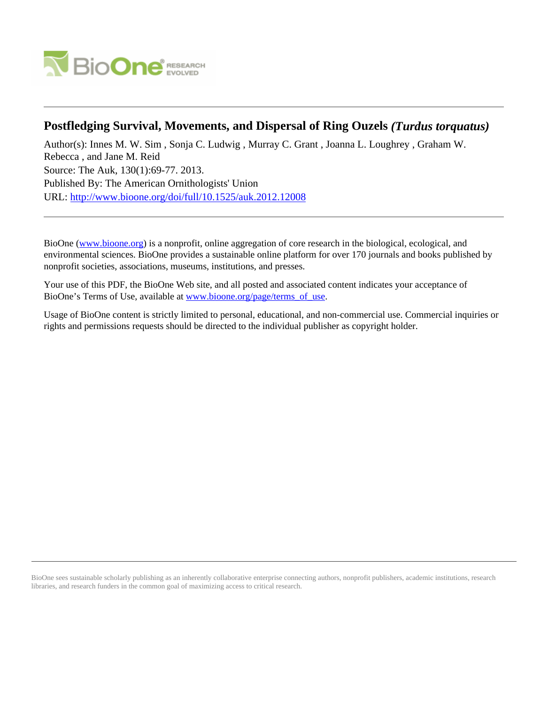

# **Postfledging Survival, Movements, and Dispersal of Ring Ouzels** *(Turdus torquatus)*

Author(s): Innes M. W. Sim , Sonja C. Ludwig , Murray C. Grant , Joanna L. Loughrey , Graham W. Rebecca , and Jane M. Reid Source: The Auk, 130(1):69-77. 2013. Published By: The American Ornithologists' Union URL: <http://www.bioone.org/doi/full/10.1525/auk.2012.12008>

BioOne [\(www.bioone.org\)](http://www.bioone.org) is a nonprofit, online aggregation of core research in the biological, ecological, and environmental sciences. BioOne provides a sustainable online platform for over 170 journals and books published by nonprofit societies, associations, museums, institutions, and presses.

Your use of this PDF, the BioOne Web site, and all posted and associated content indicates your acceptance of BioOne's Terms of Use, available at [www.bioone.org/page/terms\\_of\\_use.](http://www.bioone.org/page/terms_of_use)

Usage of BioOne content is strictly limited to personal, educational, and non-commercial use. Commercial inquiries or rights and permissions requests should be directed to the individual publisher as copyright holder.

BioOne sees sustainable scholarly publishing as an inherently collaborative enterprise connecting authors, nonprofit publishers, academic institutions, research libraries, and research funders in the common goal of maximizing access to critical research.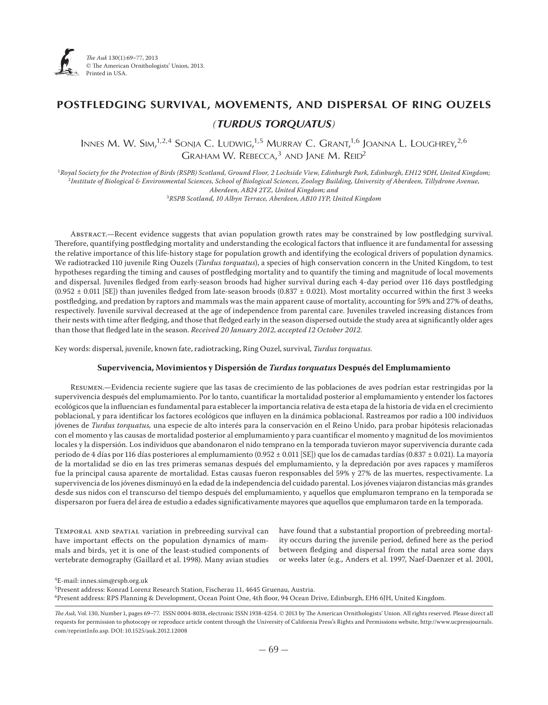

# **POSTFLEDGING SURVIVAL, MOVEMENTS, AND DISPERSAL OF RING OUZELS** *(TURDUS TORQUATUS)*

Innes M. W. Sim,<sup>1,2,4</sup> Sonja C. Ludwig,<sup>1,5</sup> Murray C. Grant,<sup>1,6</sup> Joanna L. Loughrey,<sup>2,6</sup> Graham W. Rebecca,<sup>3</sup> and Jane M. Reid<sup>2</sup>

<sup>1</sup>*Royal Society for the Protection of Birds (RSPB) Scotland, Ground Floor, 2 Lochside View, Edinburgh Park, Edinburgh, EH12 9DH, United Kingdom;* <sup>2</sup>*Institute of Biological & Environmental Sciences, School of Biological Sciences, Zoology Building, University of Aberdeen, Tillydrone Avenue, Aberdeen, AB24 2TZ, United Kingdom; and*

<sup>3</sup>*RSPB Scotland, 10 Albyn Terrace, Aberdeen, AB10 1YP, United Kingdom*

Abstract.—Recent evidence suggests that avian population growth rates may be constrained by low postfledging survival. Therefore, quantifying postfledging mortality and understanding the ecological factors that influence it are fundamental for assessing the relative importance of this life-history stage for population growth and identifying the ecological drivers of population dynamics. We radiotracked 110 juvenile Ring Ouzels (*Turdus torquatus*), a species of high conservation concern in the United Kingdom, to test hypotheses regarding the timing and causes of postfledging mortality and to quantify the timing and magnitude of local movements and dispersal. Juveniles fledged from early-season broods had higher survival during each 4-day period over 116 days postfledging  $(0.952 \pm 0.011$  [SE]) than juveniles fledged from late-season broods  $(0.837 \pm 0.021)$ . Most mortality occurred within the first 3 weeks postfledging, and predation by raptors and mammals was the main apparent cause of mortality, accounting for 59% and 27% of deaths, respectively. Juvenile survival decreased at the age of independence from parental care. Juveniles traveled increasing distances from their nests with time after fledging, and those that fledged early in the season dispersed outside the study area at significantly older ages than those that fledged late in the season. Received 20 January 2012, accepted 12 October 2012.

Key words: dispersal, juvenile, known fate, radiotracking, Ring Ouzel, survival, *Turdus torquatus.*

## **Supervivencia, Movimientos y Dispersión de** *Turdus torquatus* **Después del Emplumamiento**

Resumen.—Evidencia reciente sugiere que las tasas de crecimiento de las poblaciones de aves podrían estar restringidas por la supervivencia después del emplumamiento. Por lo tanto, cuantificar la mortalidad posterior al emplumamiento y entender los factores ecológicos que la influencian es fundamental para establecer la importancia relativa de esta etapa de la historia de vida en el crecimiento poblacional, y para identificar los factores ecológicos que influyen en la dinámica poblacional. Rastreamos por radio a 100 individuos jóvenes de *Turdus torquatus,* una especie de alto interés para la conservación en el Reino Unido, para probar hipótesis relacionadas con el momento y las causas de mortalidad posterior al emplumamiento y para cuantificar el momento y magnitud de los movimientos locales y la dispersión. Los individuos que abandonaron el nido temprano en la temporada tuvieron mayor supervivencia durante cada periodo de 4 días por 116 días posteriores al emplumamiento (0.952 ± 0.011 [SE]) que los de camadas tardías (0.837 ± 0.021). La mayoría de la mortalidad se dio en las tres primeras semanas después del emplumamiento, y la depredación por aves rapaces y mamíferos fue la principal causa aparente de mortalidad. Estas causas fueron responsables del 59% y 27% de las muertes, respectivamente. La supervivencia de los jóvenes disminuyó en la edad de la independencia del cuidado parental. Los jóvenes viajaron distancias más grandes desde sus nidos con el transcurso del tiempo después del emplumamiento, y aquellos que emplumaron temprano en la temporada se dispersaron por fuera del área de estudio a edades significativamente mayores que aquellos que emplumaron tarde en la temporada.

Temporal and spatial variation in prebreeding survival can have important effects on the population dynamics of mammals and birds, yet it is one of the least-studied components of vertebrate demography (Gaillard et al. 1998). Many avian studies

have found that a substantial proportion of prebreeding mortality occurs during the juvenile period, defined here as the period between fledging and dispersal from the natal area some days or weeks later (e.g., Anders et al. 1997, Naef-Daenzer et al. 2001,

4E-mail: innes.sim@rspb.org.uk 5Present address: Konrad Lorenz Research Station, Fischerau 11, 4645 Gruenau, Austria. 6Present address: RPS Planning & Development, Ocean Point One, 4th floor, 94 Ocean Drive, Edinburgh, EH6 6JH, United Kingdom.

*The Auk*, Vol. 130, Number 1, pages 69-77. ISSN 0004-8038, electronic ISSN 1938-4254. © 2013 by The American Ornithologists' Union. All rights reserved. Please direct all requests for permission to photocopy or reproduce article content through the University of California Press's Rights and Permissions website, http://www.ucpressjournals. com/reprintInfo.asp. DOI: 10.1525/auk.2012.12008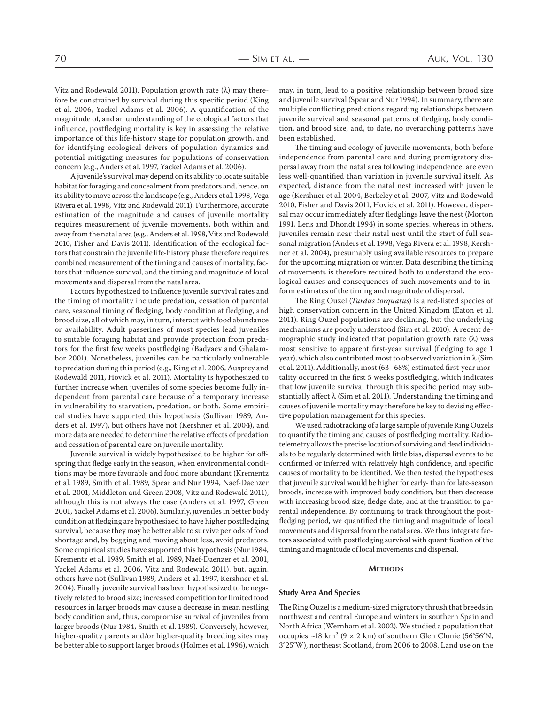Vitz and Rodewald 2011). Population growth rate  $(\lambda)$  may therefore be constrained by survival during this specific period (King et al. 2006, Yackel Adams et al. 2006). A quantification of the magnitude of, and an understanding of the ecological factors that influence, postfledging mortality is key in assessing the relative importance of this life-history stage for population growth, and for identifying ecological drivers of population dynamics and potential mitigating measures for populations of conservation concern (e.g., Anders et al. 1997, Yackel Adams et al. 2006).

A juvenile's survival may depend on its ability to locate suitable habitat for foraging and concealment from predators and, hence, on its ability to move across the landscape (e.g., Anders et al. 1998, Vega Rivera et al. 1998, Vitz and Rodewald 2011). Furthermore, accurate estimation of the magnitude and causes of juvenile mortality requires measurement of juvenile movements, both within and away from the natal area (e.g., Anders et al. 1998, Vitz and Rodewald 2010, Fisher and Davis 2011). Identification of the ecological factors that constrain the juvenile life-history phase therefore requires combined measurement of the timing and causes of mortality, factors that influence survival, and the timing and magnitude of local movements and dispersal from the natal area.

Factors hypothesized to influence juvenile survival rates and the timing of mortality include predation, cessation of parental care, seasonal timing of fledging, body condition at fledging, and brood size, all of which may, in turn, interact with food abundance or availability. Adult passerines of most species lead juveniles to suitable foraging habitat and provide protection from predators for the first few weeks postfledging (Badyaev and Ghalambor 2001). Nonetheless, juveniles can be particularly vulnerable to predation during this period (e.g., King et al. 2006, Ausprey and Rodewald 2011, Hovick et al. 2011). Mortality is hypothesized to further increase when juveniles of some species become fully independent from parental care because of a temporary increase in vulnerability to starvation, predation, or both. Some empirical studies have supported this hypothesis (Sullivan 1989, Anders et al. 1997), but others have not (Kershner et al. 2004), and more data are needed to determine the relative effects of predation and cessation of parental care on juvenile mortality.

Juvenile survival is widely hypothesized to be higher for offspring that fledge early in the season, when environmental conditions may be more favorable and food more abundant (Krementz et al. 1989, Smith et al. 1989, Spear and Nur 1994, Naef-Daenzer et al. 2001, Middleton and Green 2008, Vitz and Rodewald 2011), although this is not always the case (Anders et al. 1997, Green 2001, Yackel Adams et al. 2006). Similarly, juveniles in better body condition at fledging are hypothesized to have higher postfledging survival, because they may be better able to survive periods of food shortage and, by begging and moving about less, avoid predators. Some empirical studies have supported this hypothesis (Nur 1984, Krementz et al. 1989, Smith et al. 1989, Naef-Daenzer et al. 2001, Yackel Adams et al. 2006, Vitz and Rodewald 2011), but, again, others have not (Sullivan 1989, Anders et al. 1997, Kershner et al. ). Finally, juvenile survival has been hypothesized to be negatively related to brood size; increased competition for limited food resources in larger broods may cause a decrease in mean nestling body condition and, thus, compromise survival of juveniles from larger broods (Nur 1984, Smith et al. 1989). Conversely, however, higher-quality parents and/or higher-quality breeding sites may be better able to support larger broods (Holmes et al. 1996), which

may, in turn, lead to a positive relationship between brood size and juvenile survival (Spear and Nur 1994). In summary, there are multiple conflicting predictions regarding relationships between juvenile survival and seasonal patterns of fledging, body condition, and brood size, and, to date, no overarching patterns have been established.

The timing and ecology of juvenile movements, both before independence from parental care and during premigratory dispersal away from the natal area following independence, are even less well-quantified than variation in juvenile survival itself. As expected, distance from the natal nest increased with juvenile age (Kershner et al. 2004, Berkeley et al. 2007, Vitz and Rodewald 2010, Fisher and Davis 2011, Hovick et al. 2011). However, dispersal may occur immediately after fledglings leave the nest (Morton 1991, Lens and Dhondt 1994) in some species, whereas in others, juveniles remain near their natal nest until the start of full seasonal migration (Anders et al. 1998, Vega Rivera et al. 1998, Kershner et al. 2004), presumably using available resources to prepare for the upcoming migration or winter. Data describing the timing of movements is therefore required both to understand the ecological causes and consequences of such movements and to inform estimates of the timing and magnitude of dispersal.

The Ring Ouzel (*Turdus torquatus*) is a red-listed species of high conservation concern in the United Kingdom (Eaton et al. ). Ring Ouzel populations are declining, but the underlying mechanisms are poorly understood (Sim et al. 2010). A recent demographic study indicated that population growth rate (λ) was most sensitive to apparent first-year survival (fledging to age year), which also contributed most to observed variation in  $\lambda$  (Sim et al. 2011). Additionally, most (63-68%) estimated first-year mortality occurred in the first 5 weeks postfledging, which indicates that low juvenile survival through this specific period may substantially affect  $\lambda$  (Sim et al. 2011). Understanding the timing and causes of juvenile mortality may therefore be key to devising effective population management for this species.

We used radiotracking of a large sample of juvenile Ring Ouzels to quantify the timing and causes of postfledging mortality. Radiotelemetry allows the precise location of surviving and dead individuals to be regularly determined with little bias, dispersal events to be confirmed or inferred with relatively high confidence, and specific causes of mortality to be identified. We then tested the hypotheses that juvenile survival would be higher for early- than for late-season broods, increase with improved body condition, but then decrease with increasing brood size, fledge date, and at the transition to parental independence. By continuing to track throughout the postfledging period, we quantified the timing and magnitude of local movements and dispersal from the natal area. We thus integrate factors associated with postfledging survival with quantification of the timing and magnitude of local movements and dispersal.

#### **METHODS**

### **Study Area And Species**

The Ring Ouzel is a medium-sized migratory thrush that breeds in northwest and central Europe and winters in southern Spain and North Africa (Wernham et al. 2002). We studied a population that occupies ~18 km<sup>2</sup> (9  $\times$  2 km) of southern Glen Clunie (56°56'N, 3°25'W), northeast Scotland, from 2006 to 2008. Land use on the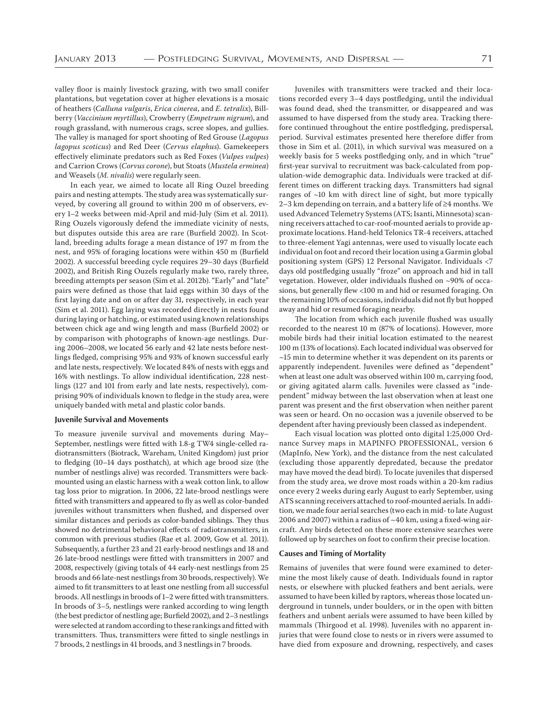valley floor is mainly livestock grazing, with two small conifer plantations, but vegetation cover at higher elevations is a mosaic of heathers (*Calluna vulgaris*, *Erica cinerea*, and *E. tetralix*), Billberry (*Vaccinium myrtillus*), Crowberry (*Empetrum nigrum*), and rough grassland, with numerous crags, scree slopes, and gullies. The valley is managed for sport shooting of Red Grouse (*Lagopus lagopus scoticus*) and Red Deer (*Cervus elaphus*). Gamekeepers effectively eliminate predators such as Red Foxes (*Vulpes vulpes*) and Carrion Crows (*Corvus corone*), but Stoats (*Mustela erminea*) and Weasels (*M. nivalis*) were regularly seen.

In each year, we aimed to locate all Ring Ouzel breeding pairs and nesting attempts. The study area was systematically surveyed, by covering all ground to within 200 m of observers, every 1–2 weeks between mid-April and mid-July (Sim et al. 2011). Ring Ouzels vigorously defend the immediate vicinity of nests, but disputes outside this area are rare (Burfield 2002). In Scotland, breeding adults forage a mean distance of 197 m from the nest, and 95% of foraging locations were within 450 m (Burfield 2002). A successful breeding cycle requires 29-30 days (Burfield 2002), and British Ring Ouzels regularly make two, rarely three, breeding attempts per season (Sim et al. 2012b). "Early" and "late" pairs were defined as those that laid eggs within 30 days of the first laying date and on or after day 31, respectively, in each year (Sim et al. 2011). Egg laying was recorded directly in nests found during laying or hatching, or estimated using known relationships between chick age and wing length and mass (Burfield 2002) or by comparison with photographs of known-age nestlings. During 2006-2008, we located 56 early and 42 late nests before nestlings fledged, comprising 95% and 93% of known successful early and late nests, respectively. We located 84% of nests with eggs and 16% with nestlings. To allow individual identification, 228 nestlings (127 and 101 from early and late nests, respectively), comprising 90% of individuals known to fledge in the study area, were uniquely banded with metal and plastic color bands.

#### **Juvenile Survival and Movements**

To measure juvenile survival and movements during May– September, nestlings were fitted with 1.8-g TW4 single-celled radiotransmitters (Biotrack, Wareham, United Kingdom) just prior to fledging  $(10-14$  days posthatch), at which age brood size (the number of nestlings alive) was recorded. Transmitters were backmounted using an elastic harness with a weak cotton link, to allow tag loss prior to migration. In 2006, 22 late-brood nestlings were fitted with transmitters and appeared to fly as well as color-banded juveniles without transmitters when flushed, and dispersed over similar distances and periods as color-banded siblings. They thus showed no detrimental behavioral effects of radiotransmitters, in common with previous studies (Rae et al. 2009, Gow et al. 2011). Subsequently, a further 23 and 21 early-brood nestlings and 18 and 26 late-brood nestlings were fitted with transmitters in 2007 and 2008, respectively (giving totals of 44 early-nest nestlings from 25 broods and 66 late-nest nestlings from 30 broods, respectively). We aimed to fit transmitters to at least one nestling from all successful broods. All nestlings in broods of 1–2 were fitted with transmitters. In broods of 3-5, nestlings were ranked according to wing length (the best predictor of nestling age; Burfield 2002), and  $2-3$  nestlings were selected at random according to these rankings and fitted with transmitters. Thus, transmitters were fitted to single nestlings in 7 broods, 2 nestlings in 41 broods, and 3 nestlings in 7 broods.

Juveniles with transmitters were tracked and their locations recorded every 3-4 days postfledging, until the individual was found dead, shed the transmitter, or disappeared and was assumed to have dispersed from the study area. Tracking therefore continued throughout the entire postfledging, predispersal, period. Survival estimates presented here therefore differ from those in Sim et al. (2011), in which survival was measured on a weekly basis for 5 weeks postfledging only, and in which "true" first-year survival to recruitment was back-calculated from population-wide demographic data. Individuals were tracked at different times on different tracking days. Transmitters had signal ranges of  $~10$  km with direct line of sight, but more typically 2–3 km depending on terrain, and a battery life of  $\geq 4$  months. We used Advanced Telemetry Systems (ATS; Isanti, Minnesota) scanning receivers attached to car-roof-mounted aerials to provide approximate locations. Hand-held Telonics TR-4 receivers, attached to three-element Yagi antennas, were used to visually locate each individual on foot and record their location using a Garmin global positioning system (GPS) 12 Personal Navigator. Individuals <7 days old postfledging usually "froze" on approach and hid in tall vegetation. However, older individuals flushed on ~90% of occasions, but generally flew <100 m and hid or resumed foraging. On the remaining 10% of occasions, individuals did not fly but hopped away and hid or resumed foraging nearby.

The location from which each juvenile flushed was usually recorded to the nearest 10 m (87% of locations). However, more mobile birds had their initial location estimated to the nearest 100 m (13% of locations). Each located individual was observed for  $~15$  min to determine whether it was dependent on its parents or apparently independent. Juveniles were defined as "dependent" when at least one adult was observed within 100 m, carrying food, or giving agitated alarm calls. Juveniles were classed as "independent" midway between the last observation when at least one parent was present and the first observation when neither parent was seen or heard. On no occasion was a juvenile observed to be dependent after having previously been classed as independent.

Each visual location was plotted onto digital 1:25,000 Ordnance Survey maps in MAPINFO PROFESSIONAL, version (MapInfo, New York), and the distance from the nest calculated (excluding those apparently depredated, because the predator may have moved the dead bird). To locate juveniles that dispersed from the study area, we drove most roads within a 20-km radius once every 2 weeks during early August to early September, using ATS scanning receivers attached to roof-mounted aerials. In addition, we made four aerial searches (two each in mid- to late August 2006 and 2007) within a radius of  $\sim$  40 km, using a fixed-wing aircraft. Any birds detected on these more extensive searches were followed up by searches on foot to confirm their precise location.

#### **Causes and Timing of Mortality**

Remains of juveniles that were found were examined to determine the most likely cause of death. Individuals found in raptor nests, or elsewhere with plucked feathers and bent aerials, were assumed to have been killed by raptors, whereas those located underground in tunnels, under boulders, or in the open with bitten feathers and unbent aerials were assumed to have been killed by mammals (Thirgood et al. 1998). Juveniles with no apparent injuries that were found close to nests or in rivers were assumed to have died from exposure and drowning, respectively, and cases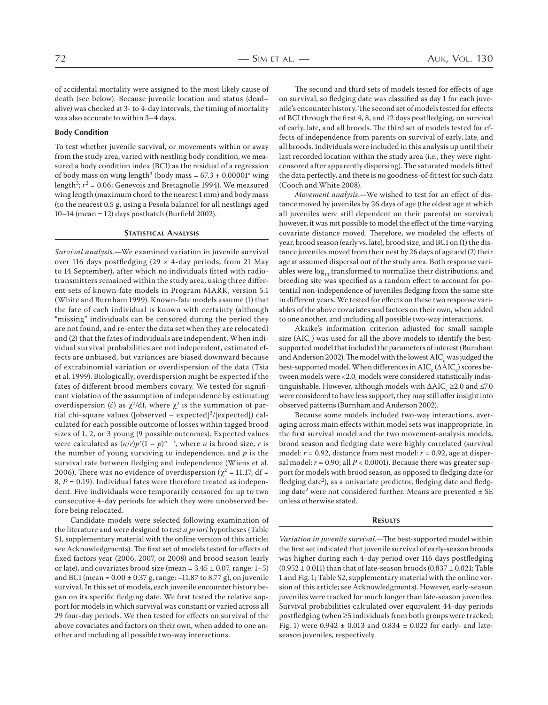of accidental mortality were assigned to the most likely cause of death (see below). Because juvenile location and status (dead– alive) was checked at 3- to 4-day intervals, the timing of mortality was also accurate to within 3-4 days.

#### **Body Condition**

To test whether juvenile survival, or movements within or away from the study area, varied with nestling body condition, we measured a body condition index (BCI) as the residual of a regression of body mass on wing length<sup>3</sup> (body mass =  $67.3 + 0.00001$ <sup>\*</sup> wing length<sup>3</sup>;  $r^2$  = 0.06; Genevois and Bretagnolle 1994). We measured wing length (maximum chord to the nearest 1 mm) and body mass (to the nearest  $0.5$  g, using a Pesola balance) for all nestlings aged  $10-14$  (mean = 12) days posthatch (Burfield 2002).

# **STATISTICAL ANALYSIS**

*Survival analysis*.—We examined variation in juvenile survival over 116 days postfledging ( $29 \times 4$ -day periods, from 21 May to 14 September), after which no individuals fitted with radiotransmitters remained within the study area, using three different sets of known-fate models in Program MARK, version 5.1 (White and Burnham 1999). Known-fate models assume (1) that the fate of each individual is known with certainty (although "missing" individuals can be censored during the period they are not found, and re-enter the data set when they are relocated) and (2) that the fates of individuals are independent. When individual survival probabilities are not independent, estimated effects are unbiased, but variances are biased downward because of extrabinomial variation or overdispersion of the data (Tsia et al. 1999). Biologically, overdispersion might be expected if the fates of different brood members covary. We tested for significant violation of the assumption of independence by estimating overdispersion ( $\hat{c}$ ) as  $\chi^2$ /df, where  $\chi^2$  is the summation of partial chi-square values ([observed – expected]<sup>2</sup>/[expected]) calculated for each possible outcome of losses within tagged brood sizes of 1, 2, or 3 young (9 possible outcomes). Expected values were calculated as  $(n/r)p^{r}(1-p)^{n-r}$ , where *n* is brood size, *r* is the number of young surviving to independence, and *p* is the survival rate between fledging and independence (Wiens et al. 2006). There was no evidence of overdispersion ( $\chi^2$  = 11.17, df =  $8, P = 0.19$ ). Individual fates were therefore treated as independent. Five individuals were temporarily censored for up to two consecutive 4-day periods for which they were unobserved before being relocated.

Candidate models were selected following examination of the literature and were designed to test *a priori* hypotheses (Table S1, supplementary material with the online version of this article; see Acknowledgments). The first set of models tested for effects of fixed factors year (2006, 2007, or 2008) and brood season (early or late), and covariates brood size (mean =  $3.45 \pm 0.07$ , range: 1-5) and BCI (mean =  $0.00 \pm 0.37$  g, range:  $-11.87$  to 8.77 g), on juvenile survival. In this set of models, each juvenile encounter history began on its specific fledging date. We first tested the relative support for models in which survival was constant or varied across all 29 four-day periods. We then tested for effects on survival of the above covariates and factors on their own, when added to one another and including all possible two-way interactions.

The second and third sets of models tested for effects of age on survival, so fledging date was classified as day 1 for each juvenile's encounter history. The second set of models tested for effects of BCI through the first 4, 8, and 12 days postfledging, on survival of early, late, and all broods. The third set of models tested for effects of independence from parents on survival of early, late, and all broods. Individuals were included in this analysis up until their last recorded location within the study area (i.e., they were rightcensored after apparently dispersing). The saturated models fitted the data perfectly, and there is no goodness-of-fit test for such data (Cooch and White 2008).

*Movement analysis*.—We wished to test for an effect of distance moved by juveniles by 26 days of age (the oldest age at which all juveniles were still dependent on their parents) on survival; however, it was not possible to model the effect of the time-varying covariate distance moved. Therefore, we modeled the effects of year, brood season (early vs. late), brood size, and BCI on (1) the distance juveniles moved from their nest by 26 days of age and (2) their age at assumed dispersal out of the study area. Both response variables were  $log<sub>10</sub>$  transformed to normalize their distributions, and breeding site was specified as a random effect to account for potential non-independence of juveniles fledging from the same site in different years. We tested for effects on these two response variables of the above covariates and factors on their own, when added to one another, and including all possible two-way interactions.

Akaike's information criterion adjusted for small sample size  $\left(\mathrm{AIC}_c\right)$  was used for all the above models to identify the bestsupported model that included the parameters of interest (Burnham and Anderson 2002). The model with the lowest  $\mathrm{AIC}_{_\mathrm{c}}$  was judged the best-supported model. When differences in  $\mathrm{AIC}_\mathrm{c}(\Delta\mathrm{AIC}_\mathrm{c})$  scores between models were <2.0, models were considered statistically indistinguishable. However, although models with  $\Delta\text{AIC}_\text{c}$  ≥2.0 and ≤7.0 were considered to have less support, they may still offer insight into observed patterns (Burnham and Anderson 2002).

Because some models included two-way interactions, averaging across main effects within model sets was inappropriate. In the first survival model and the two movement-analysis models, brood season and fledging date were highly correlated (survival model:  $r = 0.92$ , distance from nest model:  $r = 0.92$ , age at dispersal model:  $r = 0.90$ ; all  $P < 0.0001$ ). Because there was greater support for models with brood season, as opposed to fledging date (or fledging date<sup>2</sup>), as a univariate predictor, fledging date and fledging date<sup>2</sup> were not considered further. Means are presented  $\pm$  SE unless otherwise stated.

#### **RESULTS**

*Variation in juvenile survival*.—The best-supported model within the first set indicated that juvenile survival of early-season broods was higher during each 4-day period over 116 days postfledging  $(0.952 \pm 0.011)$  than that of late-season broods  $(0.837 \pm 0.021)$ ; Table 1 and Fig. 1; Table S2, supplementary material with the online version of this article; see Acknowledgments). However, early-season juveniles were tracked for much longer than late-season juveniles. Survival probabilities calculated over equivalent 44-day periods postfledging (when ≥5 individuals from both groups were tracked; Fig. 1) were  $0.942 \pm 0.013$  and  $0.834 \pm 0.022$  for early- and lateseason juveniles, respectively.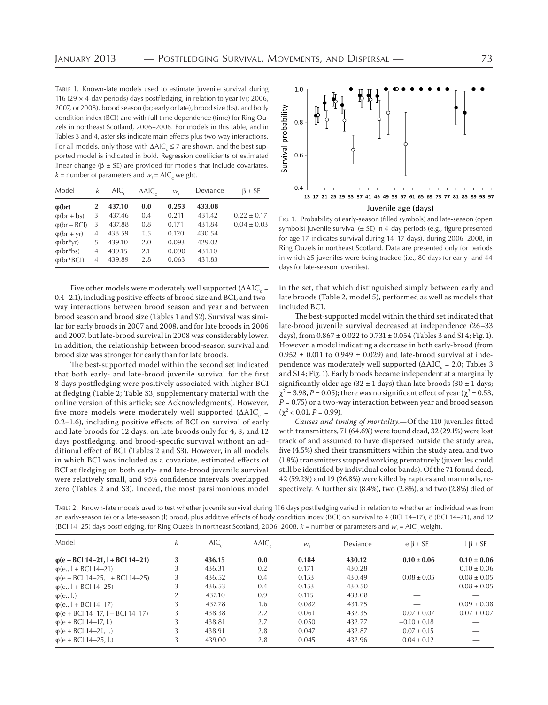TABLE 1. Known-fate models used to estimate juvenile survival during 116 (29  $\times$  4-day periods) days postfledging, in relation to year (yr; 2006, 2007, or 2008), brood season (br; early or late), brood size (bs), and body condition index (BCI) and with full time dependence (time) for Ring Ouzels in northeast Scotland, 2006–2008. For models in this table, and in Tables 3 and 4, asterisks indicate main effects plus two-way interactions. For all models, only those with  $\Delta AIC_c \leq 7$  are shown, and the best-supported model is indicated in bold. Regression coefficients of estimated linear change ( $β$  ± SE) are provided for models that include covariates.  $k =$  number of parameters and  $w_i =$  AIC<sub>c</sub> weight.

| Model                | k           | $AIC_{\alpha}$ | $\triangle$ AIC | $W_{i}$ | Deviance | $\beta \pm S E$ |
|----------------------|-------------|----------------|-----------------|---------|----------|-----------------|
| $\varphi(br)$        | $\mathbf 2$ | 437.10         | 0.0             | 0.253   | 433.08   |                 |
| $\varphi$ (br + bs)  | 3           | 437.46         | 0.4             | 0.211   | 431.42   | $0.22 \pm 0.17$ |
| $\varphi$ (br + BCI) | 3           | 437.88         | 0.8             | 0.171   | 431.84   | $0.04 \pm 0.03$ |
| $\varphi$ (br + yr)  | 4           | 438.59         | $1.5\,$         | 0.120   | 430.54   |                 |
| $\varphi(br^*yr)$    | 5           | 439.10         | 2.0             | 0.093   | 429.02   |                 |
| $\varphi(br^*bs)$    | 4           | 439.15         | 2.1             | 0.090   | 431.10   |                 |
| $\varphi$ (br*BCI)   | 4           | 439.89         | 2.8             | 0.063   | 431.83   |                 |

Five other models were moderately well supported ( $\Delta\text{AIC}_{\text{c}}$  = 0.4-2.1), including positive effects of brood size and BCI, and twoway interactions between brood season and year and between brood season and brood size (Tables 1 and S2). Survival was similar for early broods in 2007 and 2008, and for late broods in 2006 and 2007, but late-brood survival in 2008 was considerably lower. In addition, the relationship between brood-season survival and brood size was stronger for early than for late broods.

The best-supported model within the second set indicated that both early- and late-brood juvenile survival for the first 8 days postfledging were positively associated with higher BCI at fledging (Table 2; Table S3, supplementary material with the online version of this article; see Acknowledgments). However, five more models were moderately well supported ( $\Delta\text{AIC}_{\text{c}}$  = 0.2-1.6), including positive effects of BCI on survival of early and late broods for 12 days, on late broods only for 4, 8, and 12 days postfledging, and brood-specific survival without an additional effect of BCI (Tables 2 and S3). However, in all models in which BCI was included as a covariate, estimated effects of BCI at fledging on both early- and late-brood juvenile survival were relatively small, and 95% confidence intervals overlapped zero (Tables 2 and S3). Indeed, the most parsimonious model



FIG. 1. Probability of early-season (filled symbols) and late-season (open symbols) juvenile survival  $(\pm$  SE) in 4-day periods (e.g., figure presented for age 17 indicates survival during 14–17 days), during 2006–2008, in Ring Ouzels in northeast Scotland. Data are presented only for periods in which ≥5 juveniles were being tracked (i.e., 80 days for early- and 44 days for late-season juveniles).

in the set, that which distinguished simply between early and late broods (Table 2, model 5), performed as well as models that included BCI.

The best-supported model within the third set indicated that late-brood juvenile survival decreased at independence  $(26-33)$ days), from  $0.867 \pm 0.022$  to  $0.731 \pm 0.054$  (Tables 3 and SI 4; Fig. 1). However, a model indicating a decrease in both early-brood (from  $0.952 \pm 0.011$  to  $0.949 \pm 0.029$  and late-brood survival at independence was moderately well supported ( $\Delta AIC_{c} = 2.0$ ; Tables 3 and SI 4; Fig. 1). Early broods became independent at a marginally significantly older age (32  $\pm$  1 days) than late broods (30  $\pm$  1 days;  $χ² = 3.98, P = 0.05$ ; there was no significant effect of year ( $χ² = 0.53$ ,  $P = 0.75$ ) or a two-way interaction between year and brood season  $(\chi^2 < 0.01, P = 0.99).$ 

*Causes and timing of mortality*. - Of the 110 juveniles fitted with transmitters,  $71\,(64.6\%)$  were found dead,  $32\,(29.1\%)$  were lost track of and assumed to have dispersed outside the study area, five (4.5%) shed their transmitters within the study area, and two (1.8%) transmitters stopped working prematurely (juveniles could still be identified by individual color bands). Of the 71 found dead,  $42$  (59.2%) and 19 (26.8%) were killed by raptors and mammals, respectively. A further six (8.4%), two (2.8%), and two (2.8%) died of

TABLE 2. Known-fate models used to test whether juvenile survival during 116 days postfledging varied in relation to whether an individual was from an early-season (e) or a late-season (l) brood, plus additive effects of body condition index (BCI) on survival to 4 (BCI 14–17), 8 (BCI 14–21), and 12 (BCI 14–25) days postfledging, for Ring Ouzels in northeast Scotland, 2006–2008.  $k$  = number of parameters and  $w_i$  = AIC<sub>c</sub> weight.

| Model                                    | k | $AIC_c$ | $\triangle$ AIC | W.    | Deviance | $e \beta \pm SE$ | $\beta \pm SE$  |
|------------------------------------------|---|---------|-----------------|-------|----------|------------------|-----------------|
| $\phi$ (e + BCl 14-21, l + BCl 14-21)    | 3 | 436.15  | 0.0             | 0.184 | 430.12   | $0.10 \pm 0.06$  | $0.10 \pm 0.06$ |
| $\varphi$ (e., I + BCI 14-21)            |   | 436.31  | 0.2             | 0.171 | 430.28   |                  | $0.10 \pm 0.06$ |
| $\varphi$ (e + BCl 14–25, l + BCl 14–25) |   | 436.52  | 0.4             | 0.153 | 430.49   | $0.08 \pm 0.05$  | $0.08 \pm 0.05$ |
| $\varphi$ (e., 1 + BCI 14-25)            |   | 436.53  | 0.4             | 0.153 | 430.50   |                  | $0.08 \pm 0.05$ |
| $\varphi$ (e., l.)                       |   | 437.10  | 0.9             | 0.115 | 433.08   |                  |                 |
| $\varphi$ (e., I + BCI 14-17)            |   | 437.78  | 1.6             | 0.082 | 431.75   |                  | $0.09 \pm 0.08$ |
| $\varphi$ (e + BCI 14-17, l + BCI 14-17) |   | 438.38  | 2.2             | 0.061 | 432.35   | $0.07 \pm 0.07$  | $0.07 \pm 0.07$ |
| $\varphi(e + BC114-17, l.)$              |   | 438.81  | 2.7             | 0.050 | 432.77   | $-0.10 \pm 0.18$ |                 |
| $\varphi(e + BC114 - 21, l)$             |   | 438.91  | 2.8             | 0.047 | 432.87   | $0.07 \pm 0.15$  |                 |
| $\varphi$ (e + BCI 14-25, l.)            |   | 439.00  | 2.8             | 0.045 | 432.96   | $0.04 \pm 0.12$  |                 |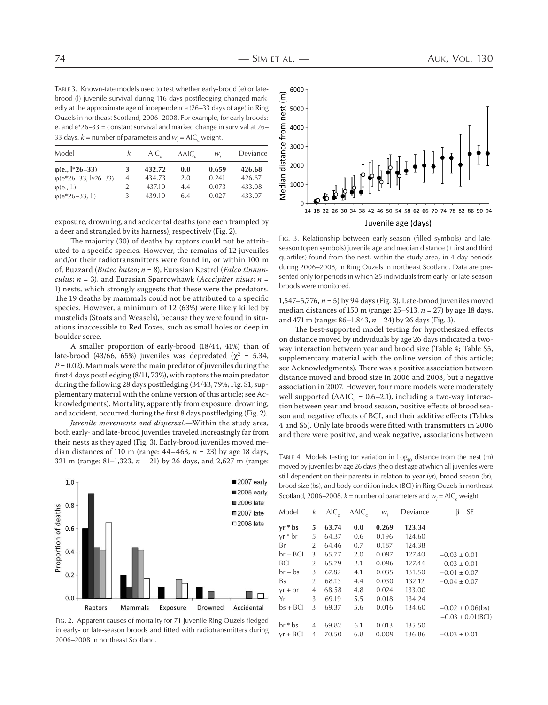TABLE 3. Known-fate models used to test whether early-brood (e) or latebrood (l) juvenile survival during 116 days postfledging changed markedly at the approximate age of independence (26–33 days of age) in Ring Ouzels in northeast Scotland, 2006–2008. For example, for early broods: e. and  $e^*26-33$  = constant survival and marked change in survival at 26– 33 days.  $k =$  number of parameters and  $w_i =$  AIC<sub>c</sub> weight.

| Model                            |   | $AIC_{\circ}$ | $\triangle$ AIC | W,    | Deviance |
|----------------------------------|---|---------------|-----------------|-------|----------|
| $\phi$ (e., $\frac{1*}{26-33}$ ) | 3 | 432.72        | 0.0             | 0.659 | 426.68   |
| $\varphi$ (e*26–33, l*26–33)     | 4 | 434.73        | 2.0             | 0.241 | 426.67   |
| $\varphi$ (e., l.)               |   | 437.10        | 4.4             | 0.073 | 433.08   |
| $\varphi(e^*26-33, l.)$          | 3 | 439.10        | 6.4             | 0.027 | 433.07   |

exposure, drowning, and accidental deaths (one each trampled by a deer and strangled by its harness), respectively (Fig. 2).

The majority (30) of deaths by raptors could not be attributed to a specific species. However, the remains of 12 juveniles and/or their radiotransmitters were found in, or within 100 m of, Buzzard (*Buteo buteo*;  $n = 8$ ), Eurasian Kestrel (*Falco tinnunculus*;  $n = 3$ , and Eurasian Sparrowhawk (*Acccipiter nisus*;  $n =$ ) nests, which strongly suggests that these were the predators. The 19 deaths by mammals could not be attributed to a specific species. However, a minimum of 12 (63%) were likely killed by mustelids (Stoats and Weasels), because they were found in situations inaccessible to Red Foxes, such as small holes or deep in boulder scree.

A smaller proportion of early-brood (18/44, 41%) than of late-brood (43/66, 65%) juveniles was depredated ( $\chi^2 = 5.34$ ,  $P = 0.02$ ). Mammals were the main predator of juveniles during the first 4 days postfledging  $(8/11, 73%)$ , with raptors the main predator during the following 28 days postfledging (34/43, 79%; Fig. S1, supplementary material with the online version of this article; see Acknowledgments). Mortality, apparently from exposure, drowning, and accident, occurred during the first 8 days postfledging (Fig. 2).

*Juvenile movements and dispersal*.—Within the study area, both early- and late-brood juveniles traveled increasingly far from their nests as they aged (Fig. 3). Early-brood juveniles moved median distances of 110 m (range:  $44-463$ ,  $n = 23$ ) by age 18 days, 321 m (range: 81–1,323,  $n = 21$ ) by 26 days, and 2,627 m (range:



FIG. 2. Apparent causes of mortality for 71 juvenile Ring Ouzels fledged in early- or late-season broods and fitted with radiotransmitters during 2006–2008 in northeast Scotland.



FIG. 3. Relationship between early-season (filled symbols) and lateseason (open symbols) juvenile age and median distance  $(\pm$  first and third quartiles) found from the nest, within the study area, in 4-day periods during 2006–2008, in Ring Ouzels in northeast Scotland. Data are presented only for periods in which ≥5 individuals from early- or late-season broods were monitored.

1,547–5,776,  $n = 5$ ) by 94 days (Fig. 3). Late-brood juveniles moved median distances of  $150$  m (range:  $25-913$ ,  $n = 27$ ) by age 18 days, and  $471 \text{ m}$  (range:  $86 - 1,843$ ,  $n = 24$ ) by 26 days (Fig. 3).

The best-supported model testing for hypothesized effects on distance moved by individuals by age 26 days indicated a twoway interaction between year and brood size (Table 4; Table S5, supplementary material with the online version of this article; see Acknowledgments). There was a positive association between distance moved and brood size in 2006 and 2008, but a negative association in 2007. However, four more models were moderately well supported ( $\Delta AIC_c = 0.6{\rm -}2.1$ ), including a two-way interaction between year and brood season, positive effects of brood season and negative effects of BCI, and their additive effects (Tables 4 and S5). Only late broods were fitted with transmitters in 2006 and there were positive, and weak negative, associations between

TABLE 4. Models testing for variation in  $Log<sub>10</sub>$  distance from the nest (m) moved by juveniles by age 26 days (the oldest age at which all juveniles were still dependent on their parents) in relation to year (yr), brood season (br), brood size (bs), and body condition index (BCI) in Ring Ouzels in northeast Scotland, 2006–2008.  $k =$  number of parameters and  $w_i =$  AIC<sub>c</sub> weight.

| Model      | k              | $AIC_{c}$ | $\triangle$ AIC | $W_i$ | Deviance | $\beta \pm SE$         |
|------------|----------------|-----------|-----------------|-------|----------|------------------------|
| $yr * bs$  | 5              | 63.74     | 0.0             | 0.269 | 123.34   |                        |
| $yr * br$  | 5              | 64.37     | 0.6             | 0.196 | 124.60   |                        |
| Br         | $\overline{2}$ | 64.46     | 0.7             | 0.187 | 124.38   |                        |
| br + BCI   | 3              | 65.77     | 2.0             | 0.097 | 127.40   | $-0.03 \pm 0.01$       |
| BCI        | 2              | 65.79     | 2.1             | 0.096 | 127.44   | $-0.03 \pm 0.01$       |
| $br + bs$  | 3              | 67.82     | 4.1             | 0.035 | 131.50   | $-0.01 \pm 0.07$       |
| Bs         | 2              | 68.13     | 4.4             | 0.030 | 132.12   | $-0.04 \pm 0.07$       |
| $yr + br$  | 4              | 68.58     | 4.8             | 0.024 | 133.00   |                        |
| Yr         | 3              | 69.19     | 5.5             | 0.018 | 134.24   |                        |
| $bs + BCI$ | 3              | 69.37     | 5.6             | 0.016 | 134.60   | $-0.02 \pm 0.06$ (bs)  |
|            |                |           |                 |       |          | $-0.03 \pm 0.01$ (BCI) |
| $br * bs$  | 4              | 69.82     | 6.1             | 0.013 | 135.50   |                        |
| $yr + BCI$ | 4              | 70.50     | 6.8             | 0.009 | 136.86   | $-0.03 \pm 0.01$       |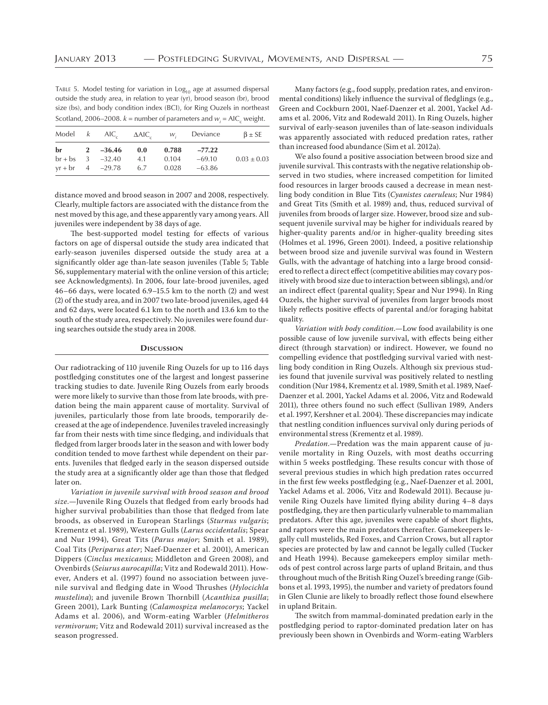TABLE 5. Model testing for variation in  $Log<sub>10</sub>$  age at assumed dispersal outside the study area, in relation to year (yr), brood season (br), brood size (bs), and body condition index (BCI), for Ring Ouzels in northeast Scotland, 2006–2008.  $k =$  number of parameters and  $w_i =$  AIC<sub>c</sub> weight.

|  |                          |       | Model $k$ AIC $\Delta AIC$ , $w_i$ Deviance | $\beta \pm S E$ |
|--|--------------------------|-------|---------------------------------------------|-----------------|
|  | $br + bs$ 3 $-32.40$ 4.1 | 0.104 | br 2 $-36.46$ 0.0 0.788 $-77.22$<br>-69.10  | $0.03 \pm 0.03$ |
|  | $yr + br$ 4 $-29.78$ 6.7 |       | $0.028 -63.86$                              |                 |

distance moved and brood season in 2007 and 2008, respectively. Clearly, multiple factors are associated with the distance from the nest moved by this age, and these apparently vary among years. All juveniles were independent by 38 days of age.

The best-supported model testing for effects of various factors on age of dispersal outside the study area indicated that early-season juveniles dispersed outside the study area at a significantly older age than-late season juveniles (Table 5; Table S6, supplementary material with the online version of this article; see Acknowledgments). In 2006, four late-brood juveniles, aged  $46-66$  days, were located  $6.9-15.5$  km to the north (2) and west  $(2)$  of the study area, and in 2007 two late-brood juveniles, aged 44 and 62 days, were located 6.1 km to the north and 13.6 km to the south of the study area, respectively. No juveniles were found during searches outside the study area in 2008.

#### **DISCUSSION**

Our radiotracking of 110 juvenile Ring Ouzels for up to 116 days postfledging constitutes one of the largest and longest passerine tracking studies to date. Juvenile Ring Ouzels from early broods were more likely to survive than those from late broods, with predation being the main apparent cause of mortality. Survival of juveniles, particularly those from late broods, temporarily decreased at the age of independence. Juveniles traveled increasingly far from their nests with time since fledging, and individuals that fledged from larger broods later in the season and with lower body condition tended to move farthest while dependent on their parents. Juveniles that fledged early in the season dispersed outside the study area at a significantly older age than those that fledged later on.

*Variation in juvenile survival with brood season and brood size*.—Juvenile Ring Ouzels that fledged from early broods had higher survival probabilities than those that fledged from late broods, as observed in European Starlings (*Sturnus vulgaris*; Krementz et al. 1989), Western Gulls (Larus occidentalis; Spear and Nur 1994), Great Tits (Parus major; Smith et al. 1989), Coal Tits (Periparus ater; Naef-Daenzer et al. 2001), American Dippers (*Cinclus mexicanus*; Middleton and Green 2008), and Ovenbirds (*Seiurus aurocapilla*; Vitz and Rodewald 2011). However, Anders et al. (1997) found no association between juvenile survival and fledging date in Wood Thrushes (*Hylocichla mustelina*); and juvenile Brown Thornbill (*Acanthiza pusilla*; Green 2001), Lark Bunting (Calamospiza melanocorys; Yackel Adams et al. 2006), and Worm-eating Warbler (*Helmitheros* vermivorum; Vitz and Rodewald 2011) survival increased as the season progressed.

Many factors (e.g., food supply, predation rates, and environmental conditions) likely influence the survival of fledglings (e.g., Green and Cockburn 2001, Naef-Daenzer et al. 2001, Yackel Adams et al. 2006, Vitz and Rodewald 2011). In Ring Ouzels, higher survival of early-season juveniles than of late-season individuals was apparently associated with reduced predation rates, rather than increased food abundance (Sim et al. 2012a).

We also found a positive association between brood size and juvenile survival. This contrasts with the negative relationship observed in two studies, where increased competition for limited food resources in larger broods caused a decrease in mean nestling body condition in Blue Tits (Cyanistes caeruleus; Nur 1984) and Great Tits (Smith et al. 1989) and, thus, reduced survival of juveniles from broods of larger size. However, brood size and subsequent juvenile survival may be higher for individuals reared by higher-quality parents and/or in higher-quality breeding sites (Holmes et al. 1996, Green 2001). Indeed, a positive relationship between brood size and juvenile survival was found in Western Gulls, with the advantage of hatching into a large brood considered to reflect a direct effect (competitive abilities may covary positively with brood size due to interaction between siblings), and/or an indirect effect (parental quality; Spear and Nur 1994). In Ring Ouzels, the higher survival of juveniles from larger broods most likely reflects positive effects of parental and/or foraging habitat quality.

*Variation with body condition*.—Low food availability is one possible cause of low juvenile survival, with effects being either direct (through starvation) or indirect. However, we found no compelling evidence that postfledging survival varied with nestling body condition in Ring Ouzels. Although six previous studies found that juvenile survival was positively related to nestling condition (Nur 1984, Krementz et al. 1989, Smith et al. 1989, Naef-Daenzer et al. 2001, Yackel Adams et al. 2006, Vitz and Rodewald 2011), three others found no such effect (Sullivan 1989, Anders et al. 1997, Kershner et al. 2004). These discrepancies may indicate that nestling condition influences survival only during periods of environmental stress (Krementz et al. 1989).

*Predation*.—Predation was the main apparent cause of juvenile mortality in Ring Ouzels, with most deaths occurring within 5 weeks postfledging. These results concur with those of several previous studies in which high predation rates occurred in the first few weeks postfledging (e.g., Naef-Daenzer et al. 2001, Yackel Adams et al. 2006, Vitz and Rodewald 2011). Because juvenile Ring Ouzels have limited flying ability during 4-8 days postfledging, they are then particularly vulnerable to mammalian predators. After this age, juveniles were capable of short flights, and raptors were the main predators thereafter. Gamekeepers legally cull mustelids, Red Foxes, and Carrion Crows, but all raptor species are protected by law and cannot be legally culled (Tucker and Heath 1994). Because gamekeepers employ similar methods of pest control across large parts of upland Britain, and thus throughout much of the British Ring Ouzel's breeding range (Gibbons et al. 1993, 1995), the number and variety of predators found in Glen Clunie are likely to broadly reflect those found elsewhere in upland Britain.

The switch from mammal-dominated predation early in the postfledging period to raptor-dominated predation later on has previously been shown in Ovenbirds and Worm-eating Warblers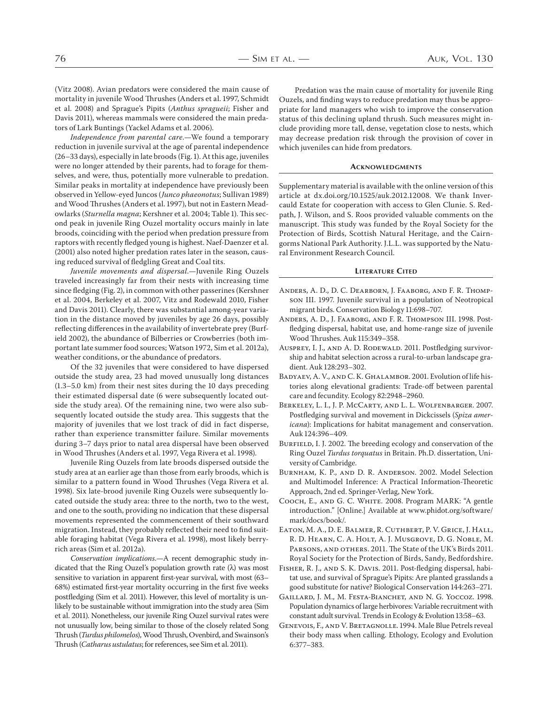(Vitz 2008). Avian predators were considered the main cause of mortality in juvenile Wood Thrushes (Anders et al. 1997, Schmidt et al. 2008) and Sprague's Pipits (Anthus spragueii; Fisher and Davis 2011), whereas mammals were considered the main predators of Lark Buntings (Yackel Adams et al. 2006).

*Independence from parental care*.—We found a temporary reduction in juvenile survival at the age of parental independence  $(26-33 \text{ days})$ , especially in late broods (Fig. 1). At this age, juveniles were no longer attended by their parents, had to forage for themselves, and were, thus, potentially more vulnerable to predation. Similar peaks in mortality at independence have previously been observed in Yellow-eyed Juncos (*Junco phaeonotus*; Sullivan 1989) and Wood Thrushes (Anders et al. 1997), but not in Eastern Meadowlarks (*Sturnella magna*; Kershner et al. 2004; Table 1). This second peak in juvenile Ring Ouzel mortality occurs mainly in late broods, coinciding with the period when predation pressure from raptors with recently fledged young is highest. Naef-Daenzer et al. (2001) also noted higher predation rates later in the season, causing reduced survival of fledgling Great and Coal tits.

*Juvenile movements and dispersal*.—Juvenile Ring Ouzels traveled increasingly far from their nests with increasing time since fledging (Fig. 2), in common with other passerines (Kershner et al. 2004, Berkeley et al. 2007, Vitz and Rodewald 2010, Fisher and Davis 2011). Clearly, there was substantial among-year variation in the distance moved by juveniles by age 26 days, possibly reflecting differences in the availability of invertebrate prey (Burfield 2002), the abundance of Bilberries or Crowberries (both important late summer food sources; Watson 1972, Sim et al. 2012a), weather conditions, or the abundance of predators.

Of the 32 juveniles that were considered to have dispersed outside the study area, 23 had moved unusually long distances  $(1.3-5.0 \text{ km})$  from their nest sites during the 10 days preceding their estimated dispersal date (6 were subsequently located outside the study area). Of the remaining nine, two were also subsequently located outside the study area. This suggests that the majority of juveniles that we lost track of did in fact disperse, rather than experience transmitter failure. Similar movements during 3-7 days prior to natal area dispersal have been observed in Wood Thrushes (Anders et al. 1997, Vega Rivera et al. 1998).

Juvenile Ring Ouzels from late broods dispersed outside the study area at an earlier age than those from early broods, which is similar to a pattern found in Wood Thrushes (Vega Rivera et al. 1998). Six late-brood juvenile Ring Ouzels were subsequently located outside the study area: three to the north, two to the west, and one to the south, providing no indication that these dispersal movements represented the commencement of their southward migration. Instead, they probably reflected their need to find suitable foraging habitat (Vega Rivera et al. 1998), most likely berryrich areas (Sim et al. 2012a).

*Conservation implications*.—A recent demographic study indicated that the Ring Ouzel's population growth rate (λ) was most sensitive to variation in apparent first-year survival, with most (63-68%) estimated first-year mortality occurring in the first five weeks postfledging (Sim et al. 2011). However, this level of mortality is unlikely to be sustainable without immigration into the study area (Sim et al. 2011). Nonetheless, our juvenile Ring Ouzel survival rates were not unusually low, being similar to those of the closely related Song Thrush (*Turdus philomelos*), Wood Thrush, Ovenbird, and Swainson's Thrush (*Catharus ustulatus*; for references, see Sim et al. 2011).

Predation was the main cause of mortality for juvenile Ring Ouzels, and finding ways to reduce predation may thus be appropriate for land managers who wish to improve the conservation status of this declining upland thrush. Such measures might include providing more tall, dense, vegetation close to nests, which may decrease predation risk through the provision of cover in which juveniles can hide from predators.

#### **ACKNOWLEDGMENTS**

Supplementary material is available with the online version of this article at dx.doi.org/10.1525/auk.2012.12008. We thank Invercauld Estate for cooperation with access to Glen Clunie. S. Redpath, J. Wilson, and S. Roos provided valuable comments on the manuscript. This study was funded by the Royal Society for the Protection of Birds, Scottish Natural Heritage, and the Cairngorms National Park Authority. J.L.L. was supported by the Natural Environment Research Council.

#### **LITERATURE CITED**

- Anders, A. D., D. C. Dearborn, J. Faaborg, and F. R. Thompson III. 1997. Juvenile survival in a population of Neotropical migrant birds. Conservation Biology 11:698-707.
- ANDERS, A. D., J. FAABORG, AND F. R. THOMPSON III. 1998. Postfledging dispersal, habitat use, and home-range size of juvenile Wood Thrushes. Auk 115:349-358.
- AUSPREY, I. J., AND A. D. RODEWALD. 2011. Postfledging survivorship and habitat selection across a rural-to-urban landscape gradient. Auk 128:293-302.
- BADYAEV, A. V., AND C. K. GHALAMBOR. 2001. Evolution of life histories along elevational gradients: Trade-off between parental care and fecundity. Ecology 82:2948-2960.
- BERKELEY, L. I., J. P. MCCARTY, AND L. L. WOLFENBARGER. 2007. Postfledging survival and movement in Dickcissels (*Spiza americana*): Implications for habitat management and conservation. Auk 124:396-409.
- BURFIELD, I. J. 2002. The breeding ecology and conservation of the Ring Ouzel *Turdus torquatus* in Britain. Ph.D. dissertation, University of Cambridge.
- BURNHAM, K. P., AND D. R. ANDERSON. 2002. Model Selection and Multimodel Inference: A Practical Information-Theoretic Approach, 2nd ed. Springer-Verlag, New York.
- Соосн, E., AND G. C. WHITE. 2008. Program MARK: "A gentle introduction." [Online.] Available at www.phidot.org/software/ mark/docs/book/.
- Eaton, M. A., D. E. Balmer, R. Cuthbert, P. V. Grice, J. Hall, R. D. Hearn, C. A. Holt, A. J. Musgrove, D. G. Noble, M. PARSONS, AND OTHERS. 2011. The State of the UK's Birds 2011. Royal Society for the Protection of Birds, Sandy, Bedfordshire.
- FISHER, R. J., AND S. K. DAVIS. 2011. Post-fledging dispersal, habitat use, and survival of Sprague's Pipits: Are planted grasslands a good substitute for native? Biological Conservation 144:263-271.
- GAILLARD, J. M., M. FESTA-BIANCHET, AND N. G. YOCCOZ. 1998. Population dynamics of large herbivores: Variable recruitment with constant adult survival. Trends in Ecology & Evolution 13:58-63.
- GENEVOIS, F., AND V. BRETAGNOLLE. 1994. Male Blue Petrels reveal their body mass when calling. Ethology, Ecology and Evolution 6:377-383.